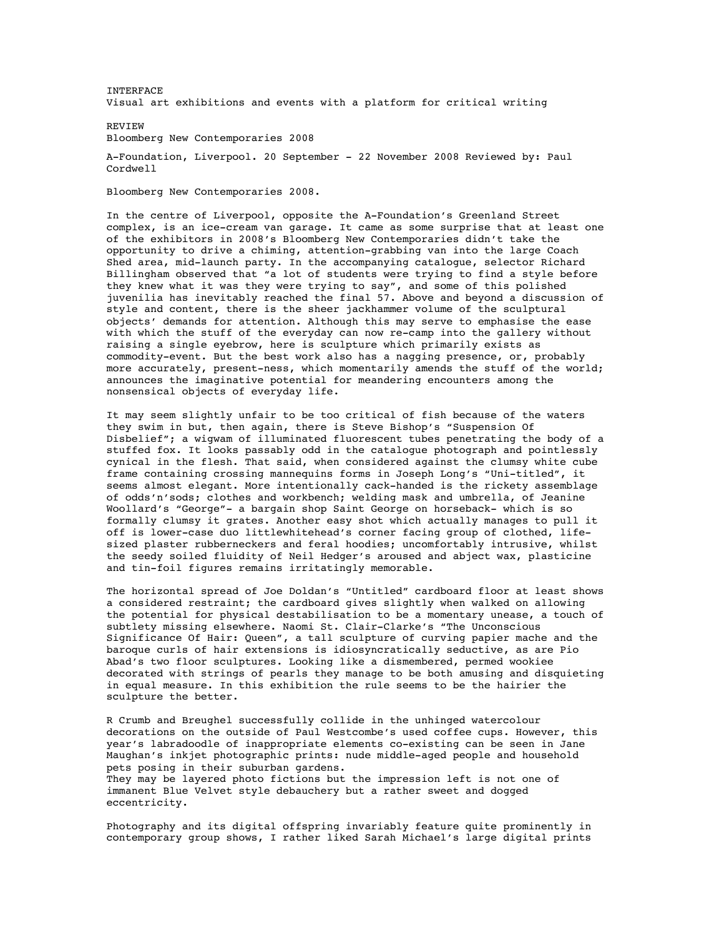**INTERFACE** Visual art exhibitions and events with a platform for critical writing

REVIEW Bloomberg New Contemporaries 2008

A-Foundation, Liverpool. 20 September - 22 November 2008 Reviewed by: Paul Cordwell

Bloomberg New Contemporaries 2008.

In the centre of Liverpool, opposite the A-Foundation's Greenland Street complex, is an ice-cream van garage. It came as some surprise that at least one of the exhibitors in 2008's Bloomberg New Contemporaries didn't take the opportunity to drive a chiming, attention-grabbing van into the large Coach Shed area, mid-launch party. In the accompanying catalogue, selector Richard Billingham observed that "a lot of students were trying to find a style before they knew what it was they were trying to say", and some of this polished juvenilia has inevitably reached the final 57. Above and beyond a discussion of style and content, there is the sheer jackhammer volume of the sculptural objects' demands for attention. Although this may serve to emphasise the ease with which the stuff of the everyday can now re-camp into the gallery without raising a single eyebrow, here is sculpture which primarily exists as commodity-event. But the best work also has a nagging presence, or, probably more accurately, present-ness, which momentarily amends the stuff of the world; announces the imaginative potential for meandering encounters among the nonsensical objects of everyday life.

It may seem slightly unfair to be too critical of fish because of the waters they swim in but, then again, there is Steve Bishop's "Suspension Of Disbelief"; a wigwam of illuminated fluorescent tubes penetrating the body of a stuffed fox. It looks passably odd in the catalogue photograph and pointlessly cynical in the flesh. That said, when considered against the clumsy white cube frame containing crossing mannequins forms in Joseph Long's "Uni-titled", it seems almost elegant. More intentionally cack-handed is the rickety assemblage of odds'n'sods; clothes and workbench; welding mask and umbrella, of Jeanine Woollard's "George"- a bargain shop Saint George on horseback- which is so formally clumsy it grates. Another easy shot which actually manages to pull it off is lower-case duo littlewhitehead's corner facing group of clothed, lifesized plaster rubberneckers and feral hoodies; uncomfortably intrusive, whilst the seedy soiled fluidity of Neil Hedger's aroused and abject wax, plasticine and tin-foil figures remains irritatingly memorable.

The horizontal spread of Joe Doldan's "Untitled" cardboard floor at least shows a considered restraint; the cardboard gives slightly when walked on allowing the potential for physical destabilisation to be a momentary unease, a touch of subtlety missing elsewhere. Naomi St. Clair-Clarke's "The Unconscious Significance Of Hair: Queen", a tall sculpture of curving papier mache and the baroque curls of hair extensions is idiosyncratically seductive, as are Pio Abad's two floor sculptures. Looking like a dismembered, permed wookiee decorated with strings of pearls they manage to be both amusing and disquieting in equal measure. In this exhibition the rule seems to be the hairier the sculpture the better.

R Crumb and Breughel successfully collide in the unhinged watercolour decorations on the outside of Paul Westcombe's used coffee cups. However, this year's labradoodle of inappropriate elements co-existing can be seen in Jane Maughan's inkjet photographic prints: nude middle-aged people and household pets posing in their suburban gardens.

They may be layered photo fictions but the impression left is not one of immanent Blue Velvet style debauchery but a rather sweet and dogged eccentricity.

Photography and its digital offspring invariably feature quite prominently in contemporary group shows, I rather liked Sarah Michael's large digital prints